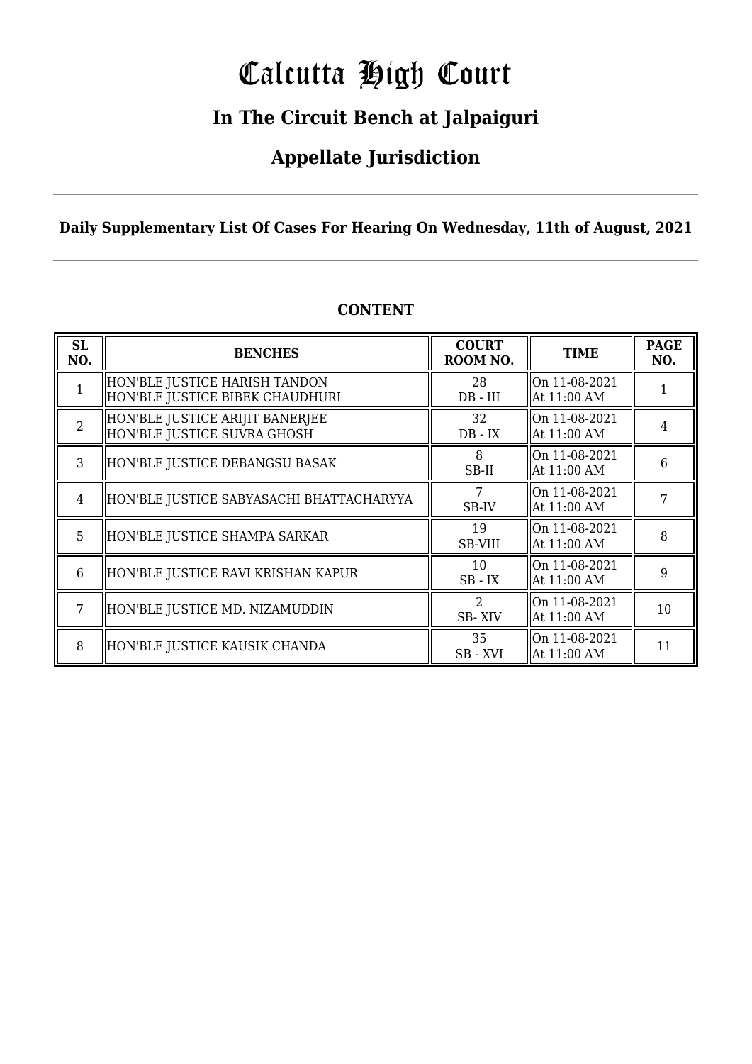# Calcutta High Court

### **In The Circuit Bench at Jalpaiguri**

### **Appellate Jurisdiction**

#### **Daily Supplementary List Of Cases For Hearing On Wednesday, 11th of August, 2021**

| <b>SL</b><br>NO. | <b>BENCHES</b>                                                   | <b>COURT</b><br>ROOM NO.              | <b>TIME</b>                     | <b>PAGE</b><br>NO. |
|------------------|------------------------------------------------------------------|---------------------------------------|---------------------------------|--------------------|
| 1                | HON'BLE JUSTICE HARISH TANDON<br>HON'BLE JUSTICE BIBEK CHAUDHURI | 28<br>$DB$ - $III$                    | $ On 11-08-2021$<br>At 11:00 AM |                    |
| $\overline{2}$   | HON'BLE JUSTICE ARIJIT BANERJEE<br>HON'BLE JUSTICE SUVRA GHOSH   | 32<br>$DB - IX$                       | $ On 11-08-2021$<br>At 11:00 AM | 4                  |
| $\mathcal{R}$    | HON'BLE JUSTICE DEBANGSU BASAK                                   | 8<br>SB-II                            | On 11-08-2021<br>At 11:00 AM    | 6                  |
| 4                | HON'BLE JUSTICE SABYASACHI BHATTACHARYYA                         | 7<br>SB-IV                            | On 11-08-2021<br>At 11:00 AM    |                    |
| 5                | HON'BLE JUSTICE SHAMPA SARKAR                                    | 19<br>SB-VIII                         | On 11-08-2021<br>At 11:00 AM    | 8                  |
| 6                | HON'BLE JUSTICE RAVI KRISHAN KAPUR                               | 10<br>$SB$ - $IX$                     | On 11-08-2021<br>At 11:00 AM    | 9                  |
| 7                | HON'BLE JUSTICE MD. NIZAMUDDIN                                   | $\mathcal{D}_{\mathcal{L}}$<br>SB-XIV | On 11-08-2021<br>At 11:00 AM    | 10                 |
| 8                | HON'BLE JUSTICE KAUSIK CHANDA                                    | 35<br>SB - XVI                        | On 11-08-2021<br>At 11:00 AM    | 11                 |

#### **CONTENT**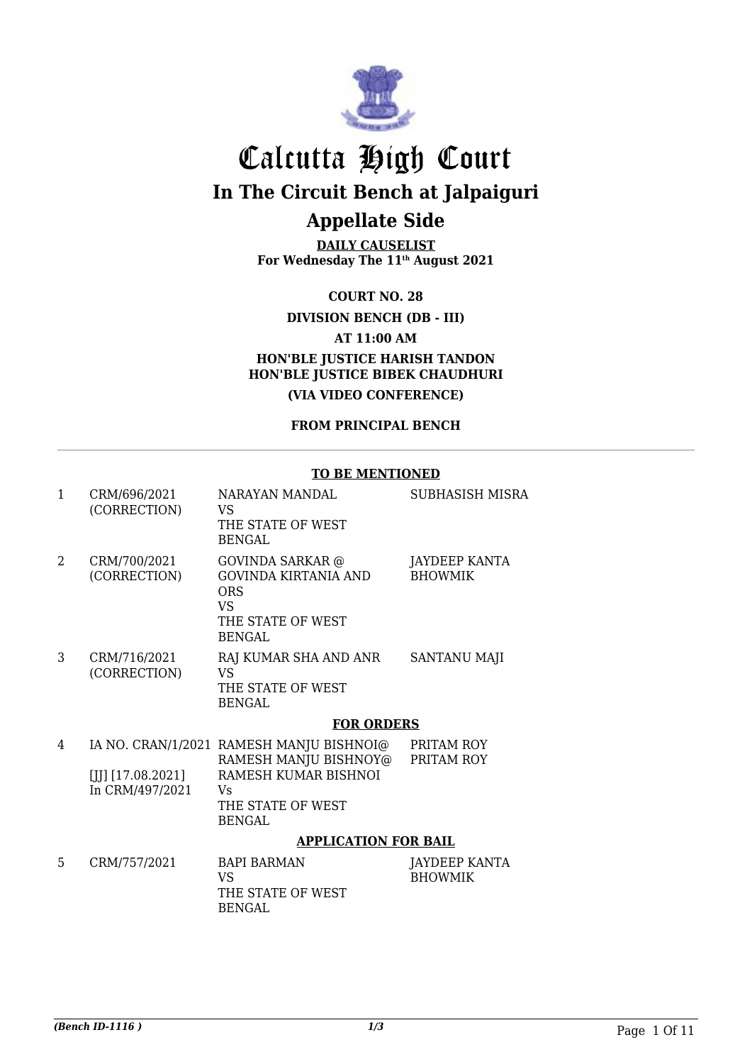

**DAILY CAUSELIST For Wednesday The 11th August 2021**

**COURT NO. 28**

**DIVISION BENCH (DB - III)**

**AT 11:00 AM**

**HON'BLE JUSTICE HARISH TANDON HON'BLE JUSTICE BIBEK CHAUDHURI (VIA VIDEO CONFERENCE)**

**FROM PRINCIPAL BENCH**

#### **TO BE MENTIONED**

| 1              | CRM/696/2021<br>(CORRECTION)           | NARAYAN MANDAL<br>VS<br>THE STATE OF WEST<br>BENGAL                                                                                   | SUBHASISH MISRA                 |
|----------------|----------------------------------------|---------------------------------------------------------------------------------------------------------------------------------------|---------------------------------|
| $\mathfrak{D}$ | CRM/700/2021<br>(CORRECTION)           | <b>GOVINDA SARKAR</b> @<br><b>GOVINDA KIRTANIA AND</b><br>ORS<br><b>VS</b><br>THE STATE OF WEST<br>BENGAL                             | JAYDEEP KANTA<br><b>BHOWMIK</b> |
| 3              | CRM/716/2021<br>(CORRECTION)           | RAJ KUMAR SHA AND ANR<br>VS<br>THE STATE OF WEST<br><b>BENGAL</b>                                                                     | <b>SANTANU MAJI</b>             |
|                |                                        | <b>FOR ORDERS</b>                                                                                                                     |                                 |
| 4              | $[[]]$ [17.08.2021]<br>In CRM/497/2021 | IA NO. CRAN/1/2021 RAMESH MANJU BISHNOI@<br>RAMESH MANJU BISHNOY@<br>RAMESH KUMAR BISHNOI<br>Vs<br>THE STATE OF WEST<br><b>BENGAL</b> | PRITAM ROY<br>PRITAM ROY        |
|                |                                        | <b>APPLICATION FOR BAIL</b>                                                                                                           |                                 |
| 5              | CRM/757/2021                           | <b>BAPI BARMAN</b><br><b>VS</b><br>THE STATE OF WEST                                                                                  | JAYDEEP KANTA<br><b>BHOWMIK</b> |

BENGAL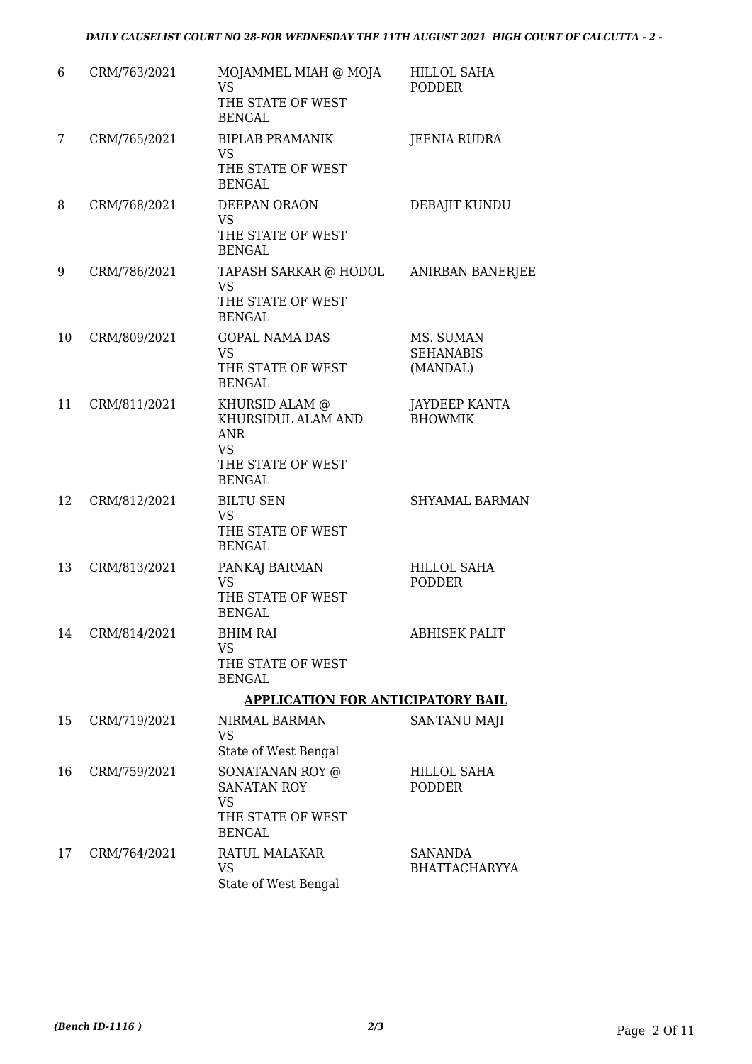| 6  | CRM/763/2021 | MOJAMMEL MIAH @ MOJA<br><b>VS</b><br>THE STATE OF WEST<br><b>BENGAL</b>                               | <b>HILLOL SAHA</b><br><b>PODDER</b>       |
|----|--------------|-------------------------------------------------------------------------------------------------------|-------------------------------------------|
| 7  | CRM/765/2021 | <b>BIPLAB PRAMANIK</b><br><b>VS</b><br>THE STATE OF WEST<br><b>BENGAL</b>                             | <b>JEENIA RUDRA</b>                       |
| 8  | CRM/768/2021 | DEEPAN ORAON<br><b>VS</b><br>THE STATE OF WEST<br><b>BENGAL</b>                                       | DEBAJIT KUNDU                             |
| 9  | CRM/786/2021 | TAPASH SARKAR @ HODOL ANIRBAN BANERJEE<br><b>VS</b><br>THE STATE OF WEST<br><b>BENGAL</b>             |                                           |
| 10 | CRM/809/2021 | <b>GOPAL NAMA DAS</b><br><b>VS</b><br>THE STATE OF WEST<br><b>BENGAL</b>                              | MS. SUMAN<br><b>SEHANABIS</b><br>(MANDAL) |
| 11 | CRM/811/2021 | KHURSID ALAM @<br>KHURSIDUL ALAM AND<br><b>ANR</b><br><b>VS</b><br>THE STATE OF WEST<br><b>BENGAL</b> | <b>JAYDEEP KANTA</b><br><b>BHOWMIK</b>    |
| 12 | CRM/812/2021 | <b>BILTU SEN</b><br><b>VS</b><br>THE STATE OF WEST<br><b>BENGAL</b>                                   | <b>SHYAMAL BARMAN</b>                     |
| 13 | CRM/813/2021 | PANKAJ BARMAN<br><b>VS</b><br>THE STATE OF WEST<br><b>BENGAL</b>                                      | <b>HILLOL SAHA</b><br><b>PODDER</b>       |
| 14 | CRM/814/2021 | <b>BHIM RAI</b><br><b>VS</b><br>THE STATE OF WEST<br><b>BENGAL</b>                                    | <b>ABHISEK PALIT</b>                      |
|    |              | <b>APPLICATION FOR ANTICIPATORY BAIL</b>                                                              |                                           |
| 15 | CRM/719/2021 | NIRMAL BARMAN<br><b>VS</b><br>State of West Bengal                                                    | <b>SANTANU MAJI</b>                       |
| 16 | CRM/759/2021 | SONATANAN ROY @<br><b>SANATAN ROY</b><br><b>VS</b><br>THE STATE OF WEST<br><b>BENGAL</b>              | HILLOL SAHA<br><b>PODDER</b>              |
| 17 | CRM/764/2021 | RATUL MALAKAR<br><b>VS</b><br>State of West Bengal                                                    | SANANDA<br><b>BHATTACHARYYA</b>           |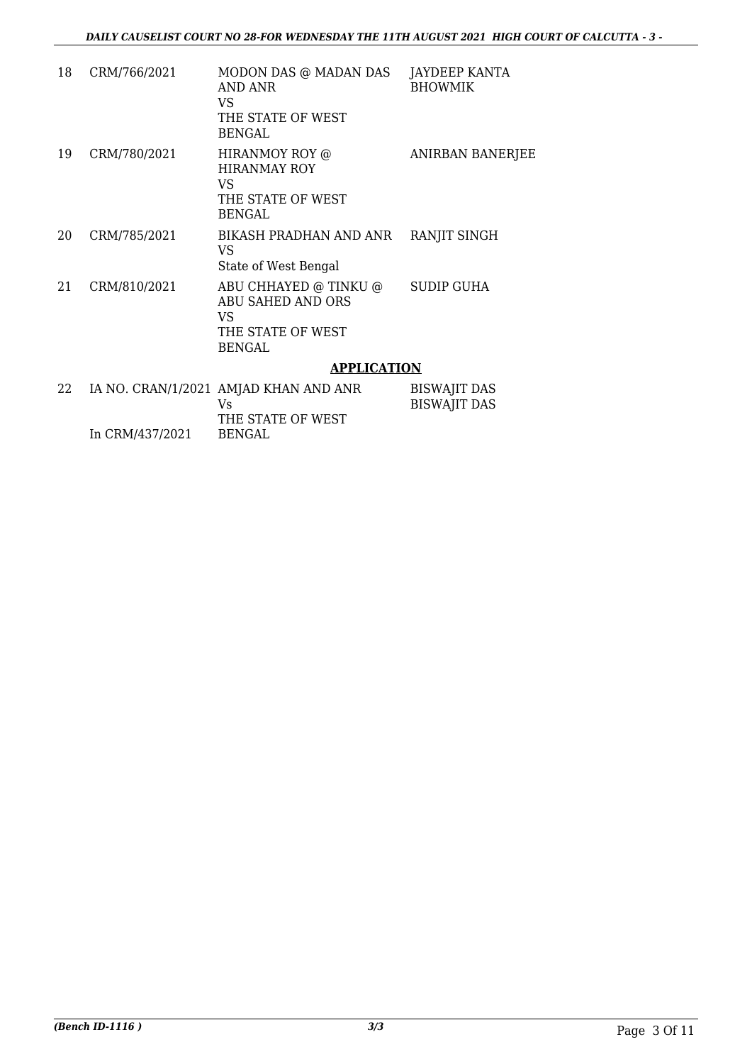| 18 | CRM/766/2021 | MODON DAS @ MADAN DAS<br><b>AND ANR</b><br>VS.<br>THE STATE OF WEST<br><b>BENGAL</b> | JAYDEEP KANTA<br><b>BHOWMIK</b>            |
|----|--------------|--------------------------------------------------------------------------------------|--------------------------------------------|
| 19 | CRM/780/2021 | HIRANMOY ROY @<br><b>HIRANMAY ROY</b><br>VS.<br>THE STATE OF WEST<br><b>BENGAL</b>   | ANIRBAN BANERJEE                           |
| 20 | CRM/785/2021 | BIKASH PRADHAN AND ANR<br>VS<br>State of West Bengal                                 | RANJIT SINGH                               |
| 21 | CRM/810/2021 | ABU CHHAYED @ TINKU @<br>ABU SAHED AND ORS<br>VS<br>THE STATE OF WEST<br>BENGAL      | <b>SUDIP GUHA</b>                          |
|    |              | <b>APPLICATION</b>                                                                   |                                            |
| 22 |              | IA NO. CRAN/1/2021 AMJAD KHAN AND ANR<br>Vs                                          | <b>BISWAJIT DAS</b><br><b>BISWAJIT DAS</b> |

THE STATE OF WEST

BENGAL

In CRM/437/2021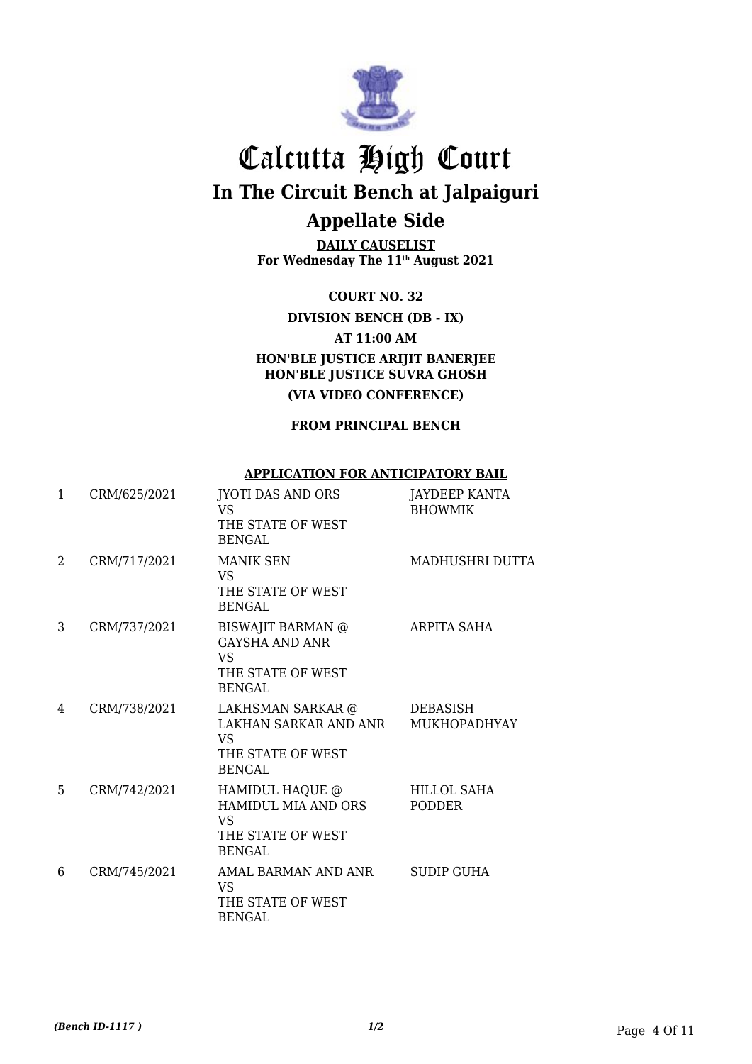

**DAILY CAUSELIST For Wednesday The 11th August 2021**

**COURT NO. 32**

**DIVISION BENCH (DB - IX)**

**AT 11:00 AM**

**HON'BLE JUSTICE ARIJIT BANERJEE HON'BLE JUSTICE SUVRA GHOSH**

**(VIA VIDEO CONFERENCE)**

**FROM PRINCIPAL BENCH**

#### **APPLICATION FOR ANTICIPATORY BAIL**

| $\mathbf{1}$ | CRM/625/2021 | JYOTI DAS AND ORS<br>VS.<br>THE STATE OF WEST<br><b>BENGAL</b>                                 | JAYDEEP KANTA<br><b>BHOWMIK</b> |
|--------------|--------------|------------------------------------------------------------------------------------------------|---------------------------------|
| 2            | CRM/717/2021 | <b>MANIK SEN</b><br><b>VS</b><br>THE STATE OF WEST<br>BENGAL                                   | MADHUSHRI DUTTA                 |
| 3            | CRM/737/2021 | <b>BISWAJIT BARMAN</b> @<br><b>GAYSHA AND ANR</b><br>VS.<br>THE STATE OF WEST<br><b>BENGAL</b> | <b>ARPITA SAHA</b>              |
| 4            | CRM/738/2021 | LAKHSMAN SARKAR @<br>LAKHAN SARKAR AND ANR<br>VS.<br>THE STATE OF WEST<br><b>BENGAL</b>        | DEBASISH<br><b>MUKHOPADHYAY</b> |
| 5            | CRM/742/2021 | HAMIDUL HAQUE @<br>HAMIDUL MIA AND ORS<br><b>VS</b><br>THE STATE OF WEST<br><b>BENGAL</b>      | <b>HILLOL SAHA</b><br>PODDER    |
| 6            | CRM/745/2021 | AMAL BARMAN AND ANR<br>VS.<br>THE STATE OF WEST<br><b>BENGAL</b>                               | <b>SUDIP GUHA</b>               |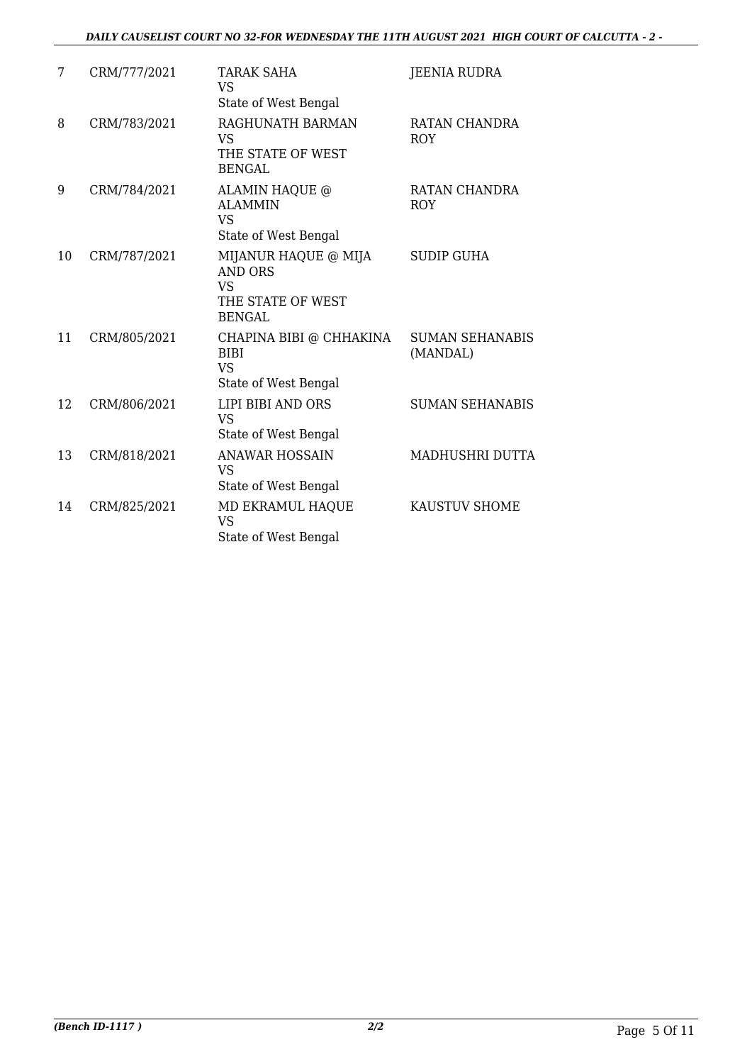#### *DAILY CAUSELIST COURT NO 32-FOR WEDNESDAY THE 11TH AUGUST 2021 HIGH COURT OF CALCUTTA - 2 -*

| 7  | CRM/777/2021 | <b>TARAK SAHA</b><br><b>VS</b><br>State of West Bengal                                    | <b>JEENIA RUDRA</b>                |
|----|--------------|-------------------------------------------------------------------------------------------|------------------------------------|
| 8  | CRM/783/2021 | RAGHUNATH BARMAN<br><b>VS</b><br>THE STATE OF WEST<br><b>BENGAL</b>                       | RATAN CHANDRA<br><b>ROY</b>        |
| 9  | CRM/784/2021 | ALAMIN HAQUE @<br><b>ALAMMIN</b><br>VS.<br>State of West Bengal                           | RATAN CHANDRA<br><b>ROY</b>        |
| 10 | CRM/787/2021 | MIJANUR HAQUE @ MIJA<br><b>AND ORS</b><br><b>VS</b><br>THE STATE OF WEST<br><b>BENGAL</b> | <b>SUDIP GUHA</b>                  |
| 11 | CRM/805/2021 | CHAPINA BIBI @ CHHAKINA<br><b>BIBI</b><br><b>VS</b><br>State of West Bengal               | <b>SUMAN SEHANABIS</b><br>(MANDAL) |
| 12 | CRM/806/2021 | LIPI BIBI AND ORS<br><b>VS</b><br>State of West Bengal                                    | <b>SUMAN SEHANABIS</b>             |
| 13 | CRM/818/2021 | <b>ANAWAR HOSSAIN</b><br><b>VS</b><br>State of West Bengal                                | MADHUSHRI DUTTA                    |
| 14 | CRM/825/2021 | MD EKRAMUL HAQUE<br><b>VS</b><br>State of West Bengal                                     | KAUSTUV SHOME                      |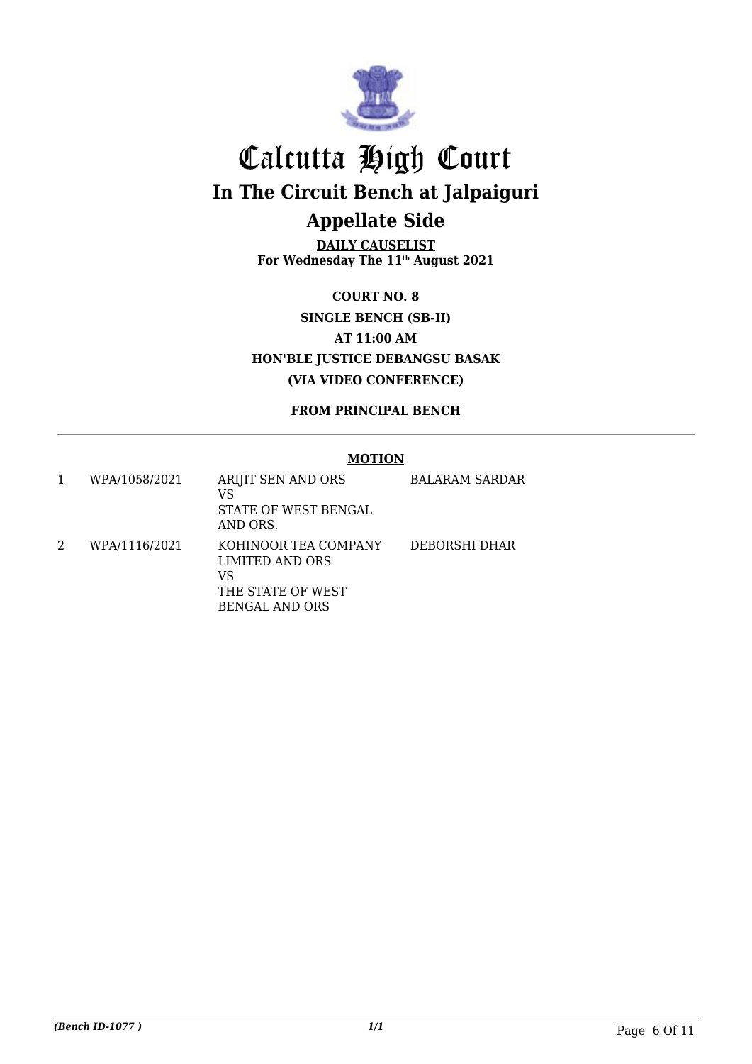

**DAILY CAUSELIST For Wednesday The 11th August 2021**

**COURT NO. 8 SINGLE BENCH (SB-II) AT 11:00 AM HON'BLE JUSTICE DEBANGSU BASAK (VIA VIDEO CONFERENCE)**

**FROM PRINCIPAL BENCH**

#### **MOTION**

| WPA/1058/2021 | ARIJIT SEN AND ORS<br>VS<br>STATE OF WEST BENGAL<br>AND ORS. | <b>BALARAM SARDAR</b> |
|---------------|--------------------------------------------------------------|-----------------------|
| WPA/1116/2021 | KOHINOOR TEA COMPANY<br>LIMITED AND ORS<br>VS                | DEBORSHI DHAR         |
|               | THE STATE OF WEST                                            |                       |
|               | <b>BENGAL AND ORS</b>                                        |                       |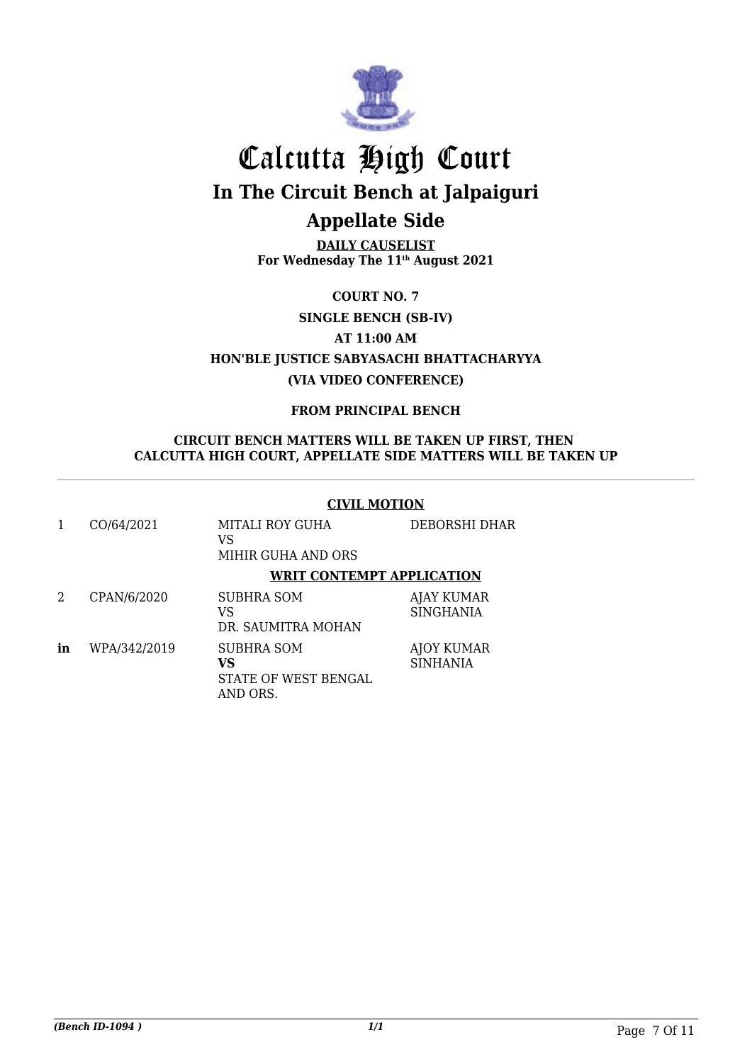

**DAILY CAUSELIST For Wednesday The 11th August 2021**

**COURT NO. 7**

**SINGLE BENCH (SB-IV)**

**AT 11:00 AM**

**HON'BLE JUSTICE SABYASACHI BHATTACHARYYA (VIA VIDEO CONFERENCE)**

**FROM PRINCIPAL BENCH**

#### **CIRCUIT BENCH MATTERS WILL BE TAKEN UP FIRST, THEN CALCUTTA HIGH COURT, APPELLATE SIDE MATTERS WILL BE TAKEN UP**

#### **CIVIL MOTION**

|    | CO/64/2021   | MITALI ROY GUHA<br>VS<br>MIHIR GUHA AND ORS          | <b>DEBORSHI DHAR</b>                  |
|----|--------------|------------------------------------------------------|---------------------------------------|
|    |              | <b>WRIT CONTEMPT APPLICATION</b>                     |                                       |
| 2  | CPAN/6/2020  | <b>SUBHRA SOM</b><br>VS<br>DR. SAUMITRA MOHAN        | <b>AJAY KUMAR</b><br><b>SINGHANIA</b> |
| in | WPA/342/2019 | SUBHRA SOM<br>VS<br>STATE OF WEST BENGAL<br>AND ORS. | AJOY KUMAR<br><b>SINHANIA</b>         |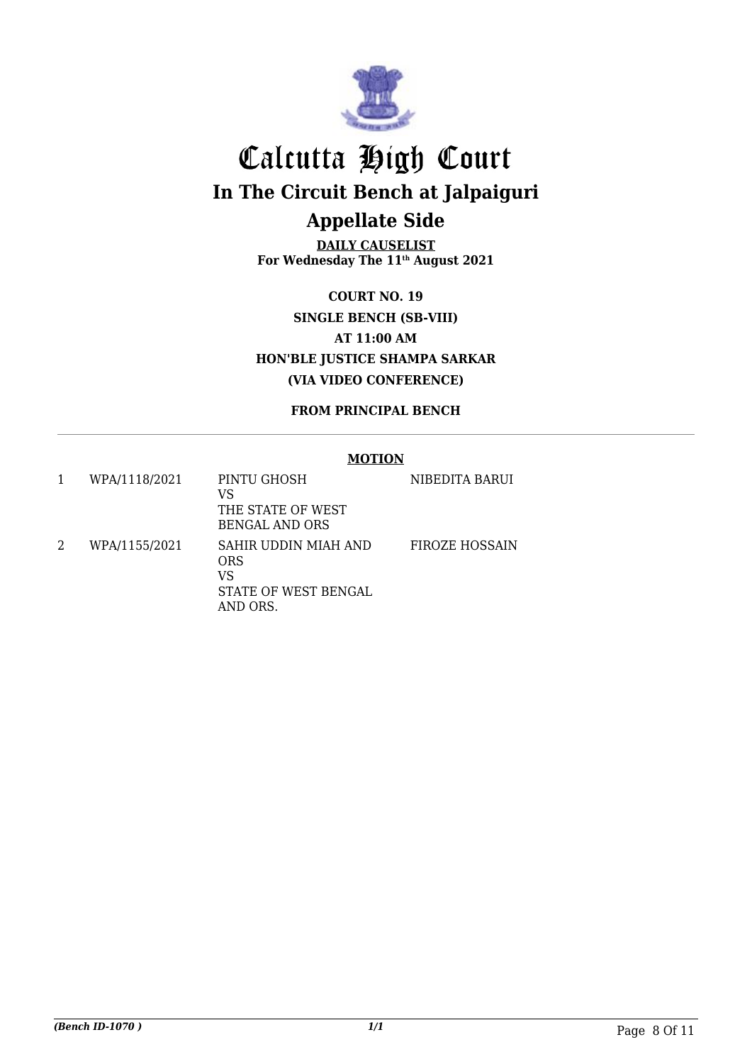

**DAILY CAUSELIST For Wednesday The 11th August 2021**

**COURT NO. 19 SINGLE BENCH (SB-VIII) AT 11:00 AM HON'BLE JUSTICE SHAMPA SARKAR (VIA VIDEO CONFERENCE)**

**FROM PRINCIPAL BENCH**

#### **MOTION**

|   | WPA/1118/2021 | PINTU GHOSH<br>VS<br>THE STATE OF WEST<br><b>BENGAL AND ORS</b>              | NIBEDITA BARUI        |
|---|---------------|------------------------------------------------------------------------------|-----------------------|
| 2 | WPA/1155/2021 | SAHIR UDDIN MIAH AND<br><b>ORS</b><br>VS<br>STATE OF WEST BENGAL<br>AND ORS. | <b>FIROZE HOSSAIN</b> |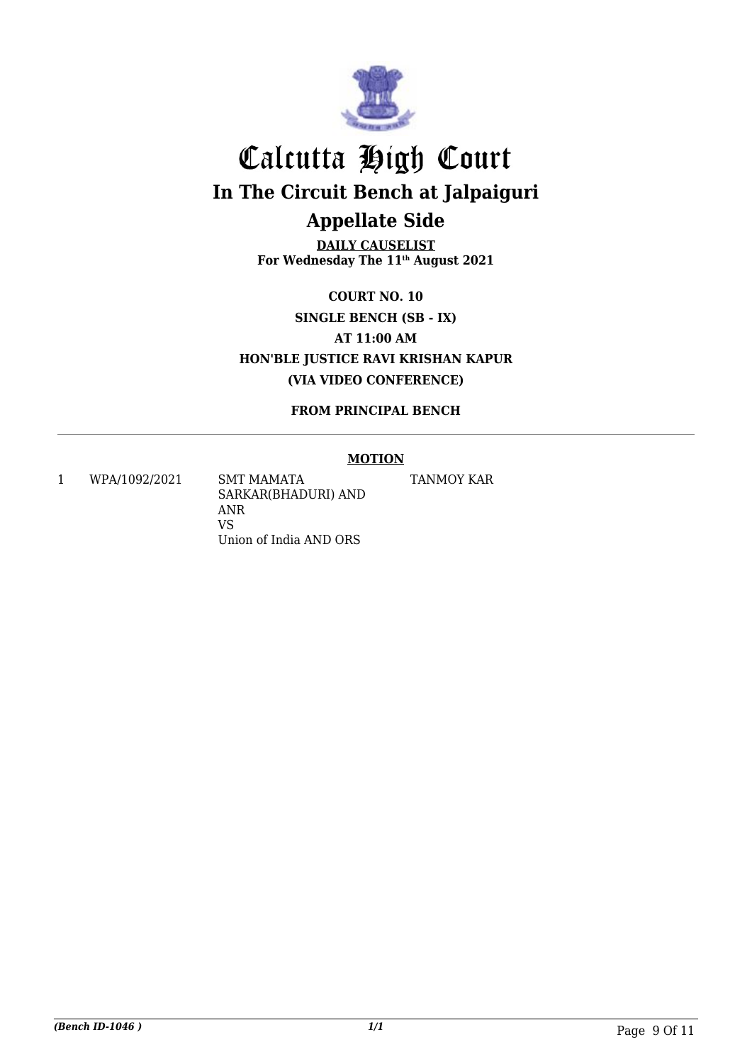

**DAILY CAUSELIST For Wednesday The 11th August 2021**

**COURT NO. 10 SINGLE BENCH (SB - IX) AT 11:00 AM HON'BLE JUSTICE RAVI KRISHAN KAPUR (VIA VIDEO CONFERENCE)**

**FROM PRINCIPAL BENCH**

#### **MOTION**

1 WPA/1092/2021 SMT MAMATA

SARKAR(BHADURI) AND ANR VS Union of India AND ORS

TANMOY KAR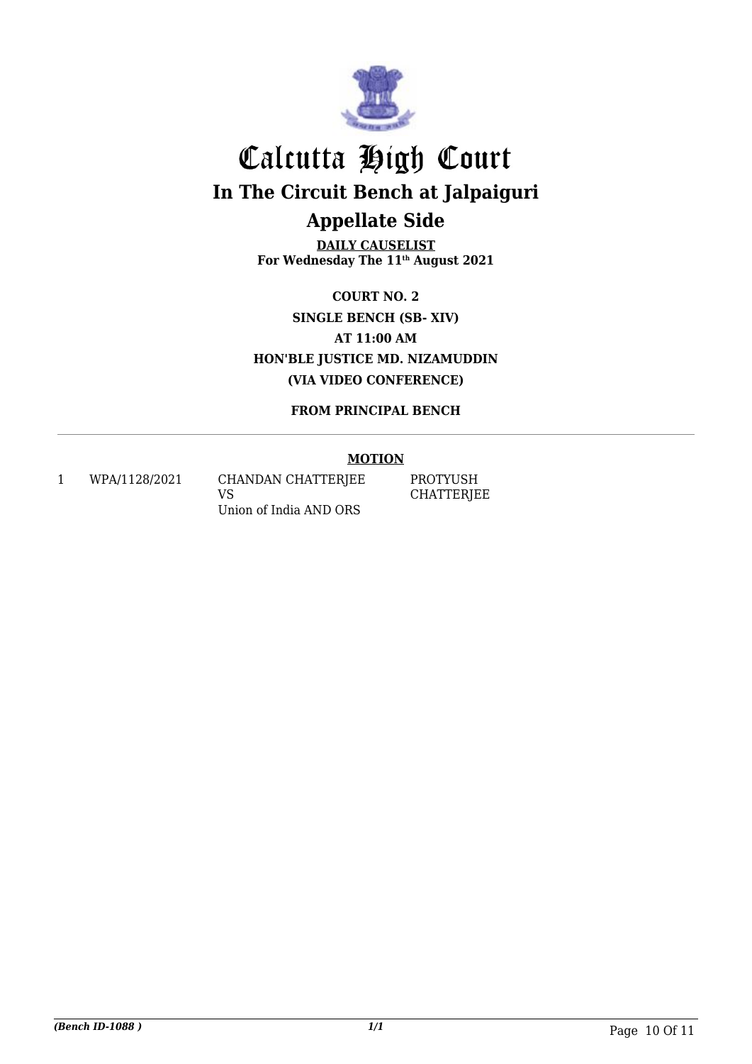

**DAILY CAUSELIST For Wednesday The 11th August 2021**

**COURT NO. 2 SINGLE BENCH (SB- XIV) AT 11:00 AM HON'BLE JUSTICE MD. NIZAMUDDIN (VIA VIDEO CONFERENCE)**

**FROM PRINCIPAL BENCH**

#### **MOTION**

1 WPA/1128/2021 CHANDAN CHATTERJEE VS Union of India AND ORS

PROTYUSH **CHATTERJEE**